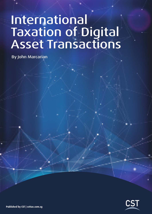# International Taxation of Digital Asset Transactions

By John Marcarian

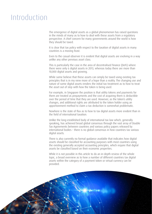## Introduction

The emergence of digital assets as a global phenomenon has raised questions in the minds of many as to how to deal with these assets from a regulatory perspective. A chief concern for many governments around the world is how they should be taxed.

It is clear that tax policy with respect to the taxation of digital assets in many countries is a moving feast.

Even to the casual observer it is evident that digital assets are evolving in a way unlike any other previous asset class.

This is particularly the case in the area of decentralised finance (DeFi) where there were only 6 digital assets in 2013, whereas today there are more than 10,000 digital assets and growing.

While some believe that these assets can simply be taxed using existing tax principles that is in my view more of a hope than a reality. The changing use and nature of some digital assets renders the initial tax treatment as to how to treat the asset out of step with how the token is being used.

For example, in Singapore the position is that utility tokens and payments for them are treated as prepayments and the cost of acquiring them is deductible over the period of time that they are used. However, as the token's utility changes, and additional rights are attributed to the token holder using an apportionment method to claim a tax deduction is somewhat problematic.

Nowhere is the state of flux as to how to tax digital assets more evident than in the field of international taxation.

Unlike the long-established body of international tax law which, generally speaking, has achieved broad global consensus through the vast array of Double Tax Agreements between countries and various policy papers released by international bodies – there is no global consensus in how countries tax various digital assets.

There is also currently no formal guidance available that indicates how digital assets should be classified for accounting purposes with most countries using the existing generally accepted accounting principles, which require that digital assets be classified based on their economic properties.

While it is not possible in this article to do an in-depth review of the whole topic, a broad overview as to how a number of different countries tax digital assets within the category of a payment token or virtual currency can be provided.

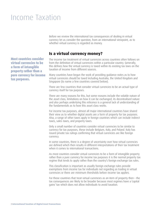### Income Taxation

Before we review the international tax consequences of dealing in virtual currency let us consider the question, from an international viewpoint, as to whether virtual currency is regarded as money.

#### **Is a virtual currency money?**

The income tax treatment of virtual currencies across countries often follows on from the definition of virtual currencies within a particular country. Generally, this defines how the virtual currency is taxed within its existing tax laws on the taxation of income from different sources.

Many countries have begun the work of providing guidance notes as to how virtual currencies should be taxed including Australia, the United Kingdom and Singapore (to name a few countries covered below).

There are few countries that consider virtual currencies to be an actual type of currency itself for tax purposes.

There are many reasons for this, but some reasons include the volatile nature of the asset class, limitations on how it can be exchanged, its decentralised nature and also perhaps underlying this reticence is a general lack of understanding of the fundamentals as to how this asset class works.

For income tax purposes, almost all major international countries have shared their view as to whether digital assets are a form of property for tax purposes. Also, a range of other taxes apply in foreign countries which can include indirect taxes, sales taxes, and property taxes.

Only a small number of countries consider virtual currencies to be similar to currency for tax purposes, these include Belgium, Italy, and Poland. Italy has issued private tax rulings confirming that virtual currencies are like foreign currency.

In some countries, there is a degree of uncertainty over how virtual currencies are defined which then results in different interpretations of their tax treatment when it comes to international transactions.

As most countries consider virtual currencies to be a form of intangible property rather than a pure currency for income tax purposes it is the normal property tax regime that tends to apply rather than the country's foreign exchange tax rules.

This classification is important as usually foreign exchange rules provide exemptions from income tax for individuals not regarding as trading in virtual currencies or there are minimum thresholds before income tax applies.

For those countries that treat virtual currencies as an item of property then – the tax consequences are likely to be broader because most regimes have a 'capital gains' tax which does not allow individuals to avoid taxation.

Most countries consider virtual currencies to be a form of intangible property rather than a pure currency for income tax purposes.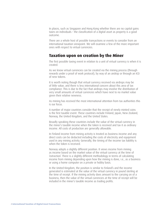In places, such as Singapore and Hong Kong whether there are no capital gains taxes on individuals – the classification of a digital asset as property is a good outcome.

There are a whole host of possible transactions or events to consider from an international taxation viewpoint. We will examine a few of the more important ones with respect to virtual currencies.

#### **Taxation upon on creation by the Miner**

The first possible taxing event in relation to a unit of virtual currency is when it is created.

As we know virtual currencies can be created via the mining process (through rewards under a proof of work protocol), by way of an airdrop or through an ICO of new tokens.

It is worth noting though that virtual currency received via airdrops may be of little value, and there is less international concern about this area of tax compliance. This is due to the fact that airdrops may involve the distribution of very small amounts of virtual currencies which have next to no market value given their relative newness.

As mining has received the most international attention from tax authorities this is our focus.

A number of major countries consider that the receipt of newly minted coins is the first taxable event. These countries include Finland, Japan, New Zealand, Norway, the United Kingdom, and the United States.

Broadly speaking these countries include the value of the virtual currency in the miner's taxable income when the token is received and tax it as ordinary income. All costs of production are generally allowable.

In Finland income from mining activity is treated as business income and any direct costs can be deducted including the costs of electricity and equipment used in any mining activity. Generally, the timing of the income tax liability is when the token is received.

Norway adopts a slightly different position. It views income from mining as income based on the market value of the virtual currency at the time of 'extraction'. There is a slightly different methodology in terms of calculating income from mining depending upon how the mining is done, i.e., as a business or using a home computer on a private or hobby basis.

In the United Kingdom, the position is similar to Finland's and the income generated is estimated at the value of the virtual currency in pound sterling at the time of receipt. If the mining activity does amount to the carrying on of a business, then the value of the virtual currencies at the time of receipt will be included in the miner's taxable income as trading profits.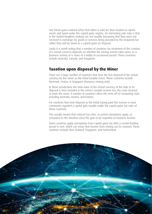Any future gains realised when that token is sold are then treated as capital assets and taxed under the capital gains regime. An interesting side note is that in the United Kingdom airdrops are not taxable (assuming that they were not received in exchange for goods or services being provided by the recipient) but rather they will be taxed as a capital gains on disposal.

Lastly it is worth noting that a number of countries tax treatment of the creation of a virtual currency depends on whether the mining activity takes place as a business activity or is more of a hobby or occasional pursuit. These countries include Australia, Canada, and Singapore.

#### **Taxation upon disposal by the Miner**

There are a large number of countries that treat the first disposal of the virtual currency by the miner as the initial taxable event. These countries include Denmark, France, & Singapore (business mining only).

In these jurisdictions the total value of the virtual currency at the date of its disposal is then included in the miner's taxable income less the costs incurred to mine the asset. A number of countries allow the write off of computing costs including Australia, Austria, and Estonia.

For countries that treat disposal as the initial taxing point the income is most commonly regarded a capital gain taxable under the capital gains tax rules of those countries.

This usually means that reduced tax rates, or partial exemptions apply, as compared to the situation were the gain to be regarded as business income.

Some countries apply exemptions from capital gains tax after a certain holding period is met, which can mean that income from mining can be untaxed. These countries include New Zealand, Singapore, and Switzerland.

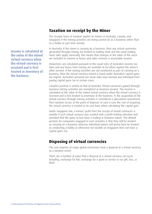#### **Taxation on receipt by the Miner**

The receipts basis of taxation applies to miners in Australia, Canada, and Singapore if the mining activities are being carried on as a business rather than as a hobby or part time activity.

In Australia, if the miner is carrying on a business, then any virtual currencies generated through mining are treated as trading stock and the usual trading stock rules apply. Generally, this means that changes in the value of the stock are included as income or losses and sales revenue is assessable income.

Deductions are calculated pursuant to the usual rules of Australia's income tax laws and any losses from mining are available to be offset against the miner's other income. If the mining activities are not conducted as part of carrying on a business, then the virtual currency mined is taxed under Australia's capital gains tax regime. Australia's personal use asset rules may exempt and individual from paying capital gains tax in certain cases.

Canada's position is similar to that of Australia. Virtual currencies gained through business mining activities are considered as business income. The income is calculated at the value of the mined virtual currency when the virtual currency is received and is first treated as inventory of the business. If, the acquisition of the virtual currency through mining activities is considered a speculative investment, then taxation occurs at the point of disposal. In such a case the cost of acquiring the virtual currency is treated as its cost base when calculating the capital gain.

Under Singapore law, a miners' profit from the receipt of virtual currencies is taxable if such virtual currency was created with a profit-making intention and provided that the gains or loss have a trading or business nature. The default position for companies engaged in such activities is that they will be treated as carrying on a business whereas individual miners will prima facie be treated as conducting a hobby or otherwise not taxable as Singapore does not have a capital gains tax.

#### **Disposing of virtual currencies**

The vast majority of major global economies treat a disposal of a virtual currency as a taxation event.

There are a number of ways that a disposal of a virtual currency can occur including, exchange for fiat, exchange for a good or service or via gift, loss, or theft.

Income is calculated at the value of the mined virtual currency when the virtual currency is received and is first treated as inventory of the business.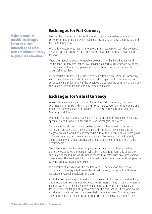Major economies consider exchanges between virtual currencies and other forms of virtual currency to give rise to taxation.

#### **Exchanges for Fiat Currency**

Most of the major economies of the world consider an exchange of virtual currency for fiat a taxable event including Australia, Germany, Japan, Israel, and the United Kingdom.

With a few exceptions, most of the above major economies consider exchanges between virtual currencies and other forms of virtual currency to give rise to taxation.

There are though, a couple of notable exceptions to this including Italy and Switzerland. In Italy transactions by individuals in virtual currency are not taxed unless they are treated as speculative trading based on certain defined tests under Italian tax law.

In Switzerland, transacting virtual currencies is treated the same as transacting with conventional methods of payment and any gains or losses have no tax consequence. Similar to Italy if the activities are considered commercial then any capital gain may be taxable and any losses deductible.

#### **Exchanges for Virtual Currency**

When virtual currency is exchanged for another virtual currency, most major countries do not make a distinction in tax terms between part time trading and trading as a going concern or business. These countries included Denmark, Germany, and Korea.

Denmark, for example treats any gains from disposing of virtual currencies as speculation and taxable under business or capital gains tax rates.

Some countries do not consider exchanges with other virtual currencies to be taxable include Chile, France, and Poland. The likely reasons for this are pragmatism as it would be extremely difficult for the Revenue to calculate gains or losses occurring between virtual currencies. The view might be that only an interaction with a fiat currency on an exchange is something more readily determinable.

The international tax treatment of persons involved in part time activities generally established the position whereby the tax treatment falls under the capital gains tax regime which means reduced tax rates with any losses being quarantined. This contrasts with the international tax treatment for those persons carrying on a business undertaking.

In a number of jurisdictions, the tax treatment depends upon the type of owner and or the expected use of the virtual currency. Let us look at three such jurisdictions Australia, Belgium, & Japan.

Australia taxes exchanges carried out in the conduct of a business undertaking and those undertaken in a private capacity. Business activity is subject to normal taxation whereas individuals undertaking non-business-related activities are taxed on any capital gain they may make on the transaction. If the gain on the asset was made in respect of an asset held for longer than 12 months, then a discounted tax calculation is performed. The personal use exemption rules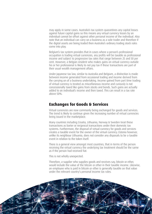may apply in some cases. Australia's tax system quarantines any capital losses against future capital gains so this means any virtual currency losses by an individual cannot be offset against other personal income of the individual. Also note that an individual can carry on a business as a sole trader and therefore if the digital assets are being traded then Australia's ordinary trading stock rules come into play.

Belgium's tax system provides that in cases where a person's professional occupation is trading virtual currencies, any profits will be taxable as professional income and subject to progressive tax rates that range between 25 and 50 per cent. However, a Belgian resident who makes gains on virtual currency outside his or her professional is likely to not pay tax if these transactions are part of their usual wealth management affairs.

Under Japanese tax law, similar to Australia and Belgium, a distinction is made between income generated from occasional trading and income derived from the carrying on of a business undertaking. Income gained from part time trading of virtual currency is treated as miscellaneous income and curiously is not concessionally taxed like gains from stocks and bonds. Such gains are actually added to an individual's income and then taxed. This can result in a tax rate above 50%.

#### **Exchanges for Goods & Services**

Virtual currencies are now commonly being exchanged for goods and services. The trend is likely to continue given the increasing number of virtual currencies being issued in the marketplace.

Many countries including Croatia, Lithuania, Norway & Sweden treat these transactions as barter or reciprocal transactions under their domestic tax systems. Furthermore, the disposal of virtual currency for goods and services creates a taxable event for the owner of the virtual currency. Estonia however, unlike its neighbour Lithuania, does not consider any disposals to be a taxable event in relation to the token itself.

There is a general view amongst most countries, that in terms of the person receiving the virtual currency the underlying tax treatment should be the same as if the person had received fiat.

This is not wholly unexpected.

Therefore, a supplier who supplies goods and receives say, bitcoin or ether, would include the value of the bitcoin or ether in their taxable income. Likewise, an employee who is paid in bitcoin or ether is generally taxable on that value under the relevant country's personal income tax rules.

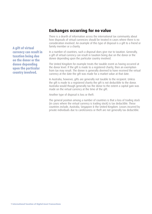### **Exchanges occurring for no value**

There is a dearth of information across the international tax community about how disposals of virtual currencies should be treated in cases where there is no consideration involved. An example of this type of disposal is a gift to a friend or family member or a charity.

In a number of countries, such a disposal does give rise to taxation. Generally, a gift of virtual currency can result in taxation being due on the donor or the donee depending upon the particular country involved.

The United Kingdom for example treats the taxable event as having occurred at the donor level. If the gift is made to a registered charity, then an exemption from tax may result. The donee is generally deemed to have received the virtual currency at the date the gift was made for a market value at that date.

In Australia, however, gifts are generally not taxable to the recipient. Unless the gift is made to a registered charity the gift is not deductible to the donor. Australia would though generally tax the donor to the extent a capital gain was made on the virtual currency at the time of the gift.

Another type of disposal is loss or theft.

The general position among a number of countries is that a loss of trading stock (in cases where the virtual currency is trading stock) is tax deductible. These countries include, Australia, Singapore & the United Kingdom. Losses incurred by private individuals due to carelessness or theft are not generally tax deductible.

A gift of virtual currency can result in taxation being due on the donor or the donee depending upon the particular country involved.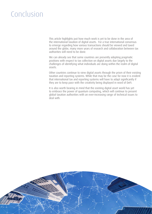# Conclusion

This article highlights just how much work is yet to be done in the area of the international taxation of digital assets. For a true international consensus to emerge regarding how various transactions should be viewed and taxed around the globe, many more years of research and collaboration between tax authorities will need to be done.

We can already see that some countries are presently adopting pragmatic positions with respect to tax collection on digital assets due largely to the challenges of identifying what individuals are doing within the realm of digital assets.

Other countries continue to view digital assets through the prism of their existing taxation and reporting systems. While that may be the case for now it is evident that international tax and reporting systems will have to adapt significantly if they are to keep pace with the creativity being displayed in word of DeFi.

It is also worth bearing in mind that the existing digital asset world has yet to embrace the power of quantum computing, which will continue to present global taxation authorities with an ever-increasing range of technical issues to deal with.

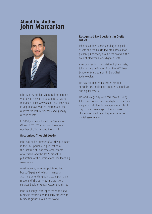### **About the Author John Marcarian**



John is an Australian Chartered Accountant with over 25 years of experience. Having founded CST Tax Advisors in 1992, John has in-depth knowledge of international tax matters for both businesses and globally mobile expats.

In 2004 John established the Singapore Office of CST. CST now has offices in a number of cities around the world.

#### Recognised Thought Leader

John has had a number of articles published in the Tax Specialist, a publication of the Institute of Chartered Accountants of Australia, and the Tax Yearbook, a publication of the International Tax Planning Association.

Most recently, John has published two books; 'Expatland', which is aimed at assisting potential global expats plan their move and 'The CST Way' a professional services book for Global Accounting Firms.

John is a sought-after speaker on tax and business matters and regularly presents to business groups around the world.

#### Recognised Tax Specialist in Digital Assets

John has a deep understanding of digital assets and the Fourth Industrial Revolution presently underway around the world in the area of blockchain and digital assets.

A recognised tax specialist in digital assets, John has a qualification from the MIT Sloan School of Management in BlockChain technologies.

He has contributed tax expertise to a specialist US publication on international tax and digital assets.

He works regularly with companies issuing tokens and other forms of digital assets. This unique blend of skills gives John a practical day to day knowledge of the business challenges faced by entrepreneurs in the digital asset market.